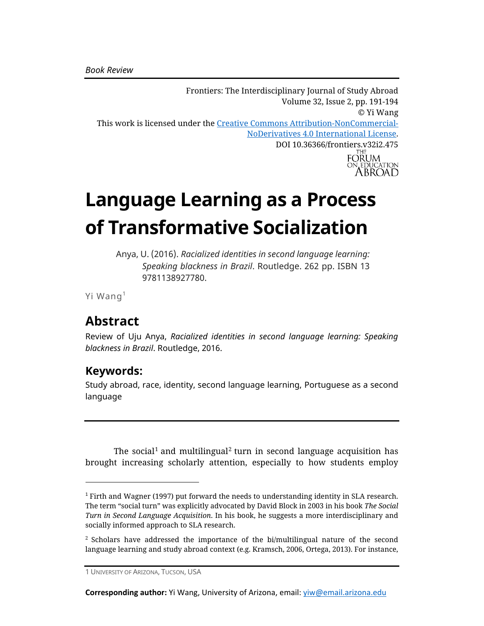Frontiers: The Interdisciplinary Journal of Study Abroad Volume 32, Issue 2, pp. 191-194 © Yi Wang This work is licensed under the [Creative Commons Attribution-NonCommercial-](https://creativecommons.org/licenses/by-nc-nd/4.0/)[NoDerivatives 4.0 International License.](https://creativecommons.org/licenses/by-nc-nd/4.0/) DOI 10.36366/frontiers.v32i2.475<br>FORUM ON EDUCATION

# **Language Learning as a Process of Transformative Socialization**

Anya, U. (2016). *Racialized identities in second language learning: Speaking blackness in Brazil*. Routledge. 262 pp. ISBN 13 9781138927780.

Yi Wang<sup>1</sup>

# **Abstract**

Review of Uju Anya, *Racialized identities in second language learning: Speaking blackness in Brazil*. Routledge, 2016.

#### **Keywords:**

Study abroad, race, identity, second language learning, Portuguese as a second language

The social $^1$  and multilingual $^2$  turn in second language acquisition has brought increasing scholarly attention, especially to how students employ

**Corresponding author:** Yi Wang, University of Arizona, email: [yiw@email.arizona.edu](mailto:yiw@email.arizona.edu)

<sup>1</sup> Firth and Wagner (1997) put forward the needs to understanding identity in SLA research. The term "social turn" was explicitly advocated by David Block in 2003 in his book *The Social Turn in Second Language Acquisition*. In his book, he suggests a more interdisciplinary and socially informed approach to SLA research.

<sup>2</sup> Scholars have addressed the importance of the bi/multilingual nature of the second language learning and study abroad context (e.g. Kramsch, 2006, Ortega, 2013). For instance,

<sup>1</sup> UNIVERSITY OF ARIZONA, TUCSON, USA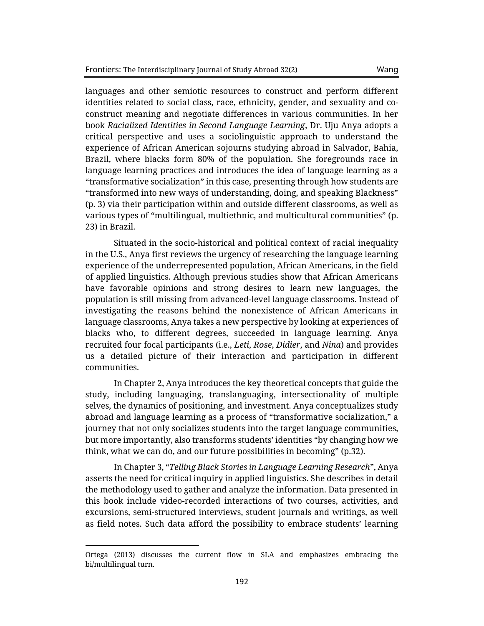languages and other semiotic resources to construct and perform different identities related to social class, race, ethnicity, gender, and sexuality and coconstruct meaning and negotiate differences in various communities. In her book *Racialized Identities in Second Language Learning*, Dr. Uju Anya adopts a critical perspective and uses a sociolinguistic approach to understand the experience of African American sojourns studying abroad in Salvador, Bahia, Brazil, where blacks form 80% of the population. She foregrounds race in language learning practices and introduces the idea of language learning as a "transformative socialization" in this case, presenting through how students are "transformed into new ways of understanding, doing, and speaking Blackness" (p. 3) via their participation within and outside different classrooms, as well as various types of "multilingual, multiethnic, and multicultural communities" (p. 23) in Brazil.

Situated in the socio-historical and political context of racial inequality in the U.S., Anya first reviews the urgency of researching the language learning experience of the underrepresented population, African Americans, in the field of applied linguistics. Although previous studies show that African Americans have favorable opinions and strong desires to learn new languages, the population is still missing from advanced-level language classrooms. Instead of investigating the reasons behind the nonexistence of African Americans in language classrooms, Anya takes a new perspective by looking at experiences of blacks who, to different degrees, succeeded in language learning. Anya recruited four focal participants (i.e., *Leti*, *Rose*, *Didier*, and *Nina*) and provides us a detailed picture of their interaction and participation in different communities.

In Chapter 2, Anya introduces the key theoretical concepts that guide the study, including languaging, translanguaging, intersectionality of multiple selves, the dynamics of positioning, and investment. Anya conceptualizes study abroad and language learning as a process of "transformative socialization," a journey that not only socializes students into the target language communities, but more importantly, also transforms students' identities "by changing how we think, what we can do, and our future possibilities in becoming" (p.32).

In Chapter 3, "*Telling Black Stories in Language Learning Research*", Anya asserts the need for critical inquiry in applied linguistics. She describes in detail the methodology used to gather and analyze the information. Data presented in this book include video-recorded interactions of two courses, activities, and excursions, semi-structured interviews, student journals and writings, as well as field notes. Such data afford the possibility to embrace students' learning

Ortega (2013) discusses the current flow in SLA and emphasizes embracing the bi/multilingual turn.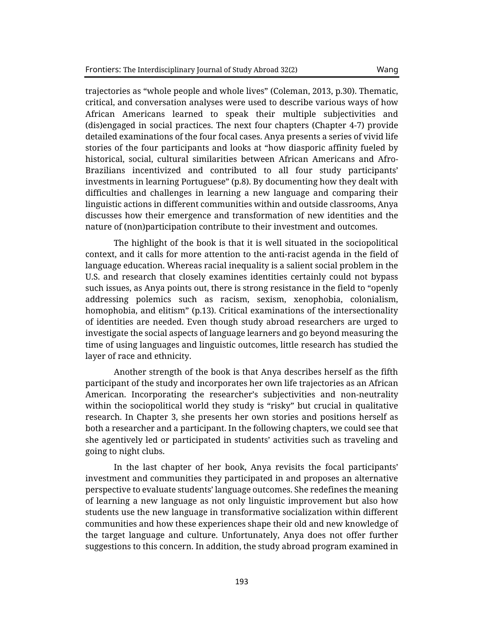trajectories as "whole people and whole lives" (Coleman, 2013, p.30). Thematic, critical, and conversation analyses were used to describe various ways of how African Americans learned to speak their multiple subjectivities and (dis)engaged in social practices. The next four chapters (Chapter 4-7) provide detailed examinations of the four focal cases. Anya presents a series of vivid life stories of the four participants and looks at "how diasporic affinity fueled by historical, social, cultural similarities between African Americans and Afro-Brazilians incentivized and contributed to all four study participants' investments in learning Portuguese" (p.8). By documenting how they dealt with difficulties and challenges in learning a new language and comparing their linguistic actions in different communities within and outside classrooms, Anya

The highlight of the book is that it is well situated in the sociopolitical context, and it calls for more attention to the anti-racist agenda in the field of language education. Whereas racial inequality is a salient social problem in the U.S. and research that closely examines identities certainly could not bypass such issues, as Anya points out, there is strong resistance in the field to "openly addressing polemics such as racism, sexism, xenophobia, colonialism, homophobia, and elitism" (p.13). Critical examinations of the intersectionality of identities are needed. Even though study abroad researchers are urged to investigate the social aspects of language learners and go beyond measuring the time of using languages and linguistic outcomes, little research has studied the layer of race and ethnicity.

discusses how their emergence and transformation of new identities and the nature of (non)participation contribute to their investment and outcomes.

Another strength of the book is that Anya describes herself as the fifth participant of the study and incorporates her own life trajectories as an African American. Incorporating the researcher's subjectivities and non-neutrality within the sociopolitical world they study is "risky" but crucial in qualitative research. In Chapter 3, she presents her own stories and positions herself as both a researcher and a participant. In the following chapters, we could see that she agentively led or participated in students' activities such as traveling and going to night clubs.

In the last chapter of her book, Anya revisits the focal participants' investment and communities they participated in and proposes an alternative perspective to evaluate students' language outcomes. She redefines the meaning of learning a new language as not only linguistic improvement but also how students use the new language in transformative socialization within different communities and how these experiences shape their old and new knowledge of the target language and culture. Unfortunately, Anya does not offer further suggestions to this concern. In addition, the study abroad program examined in